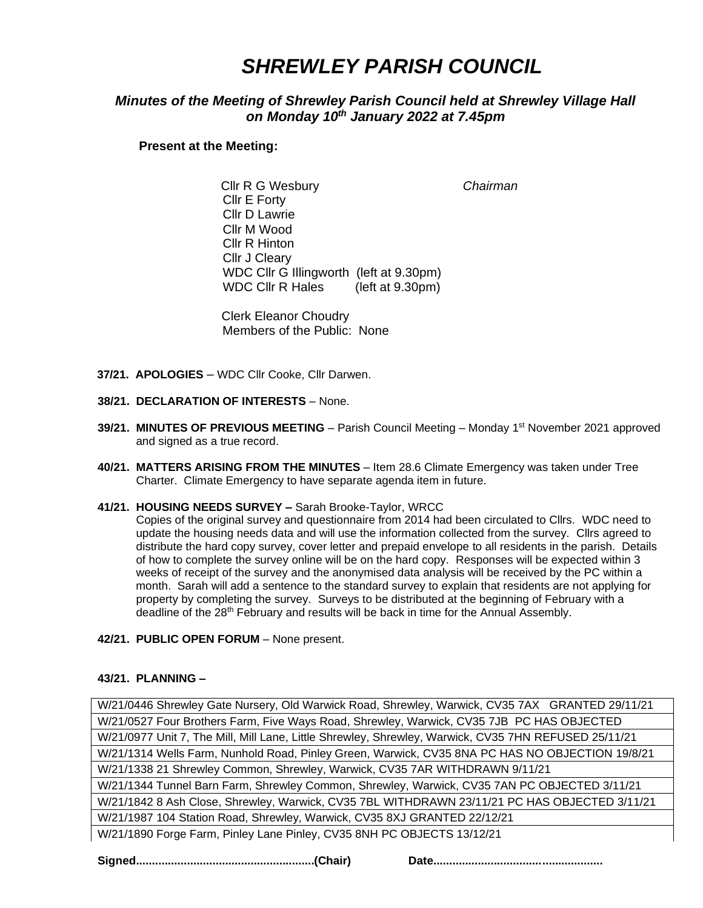# *SHREWLEY PARISH COUNCIL*

# *Minutes of the Meeting of Shrewley Parish Council held at Shrewley Village Hall on Monday 10th January 2022 at 7.45pm*

### **Present at the Meeting:**

 Cllr R G Wesbury *Chairman* Cllr E Forty Cllr D Lawrie Cllr M Wood Cllr R Hinton Cllr J Cleary WDC Cllr G Illingworth (left at 9.30pm) WDC Cllr R Hales (left at 9.30pm)

Clerk Eleanor Choudry Members of the Public: None

- **37/21. APOLOGIES** WDC Cllr Cooke, Cllr Darwen.
- **38/21. DECLARATION OF INTERESTS** None.
- 39/21. MINUTES OF PREVIOUS MEETING Parish Council Meeting Monday 1<sup>st</sup> November 2021 approved and signed as a true record.
- **40/21. MATTERS ARISING FROM THE MINUTES** Item 28.6 Climate Emergency was taken under Tree Charter. Climate Emergency to have separate agenda item in future.
- **41/21. HOUSING NEEDS SURVEY –** Sarah Brooke-Taylor, WRCC

 Copies of the original survey and questionnaire from 2014 had been circulated to Cllrs. WDC need to update the housing needs data and will use the information collected from the survey. Cllrs agreed to distribute the hard copy survey, cover letter and prepaid envelope to all residents in the parish. Details of how to complete the survey online will be on the hard copy. Responses will be expected within 3 weeks of receipt of the survey and the anonymised data analysis will be received by the PC within a month. Sarah will add a sentence to the standard survey to explain that residents are not applying for property by completing the survey. Surveys to be distributed at the beginning of February with a deadline of the 28<sup>th</sup> February and results will be back in time for the Annual Assembly.

**42/21. PUBLIC OPEN FORUM** – None present.

#### **43/21. PLANNING –**

W/21/0446 Shrewley Gate Nursery, Old Warwick Road, Shrewley, Warwick, CV35 7AX GRANTED 29/11/21 W/21/0527 Four Brothers Farm, Five Ways Road, Shrewley, Warwick, CV35 7JB PC HAS OBJECTED W/21/0977 Unit 7, The Mill, Mill Lane, Little Shrewley, Shrewley, Warwick, CV35 7HN REFUSED 25/11/21 W/21/1314 Wells Farm, Nunhold Road, Pinley Green, Warwick, CV35 8NA PC HAS NO OBJECTION 19/8/21 W/21/1338 21 Shrewley Common, Shrewley, Warwick, CV35 7AR WITHDRAWN 9/11/21 W/21/1344 Tunnel Barn Farm, Shrewley Common, Shrewley, Warwick, CV35 7AN PC OBJECTED 3/11/21 W/21/1842 8 Ash Close, Shrewley, Warwick, CV35 7BL WITHDRAWN 23/11/21 PC HAS OBJECTED 3/11/21 W/21/1987 104 Station Road, Shrewley, Warwick, CV35 8XJ GRANTED 22/12/21 W/21/1890 Forge Farm, Pinley Lane Pinley, CV35 8NH PC OBJECTS 13/12/21

**Signed........................................................(Chair) Date.....................................................**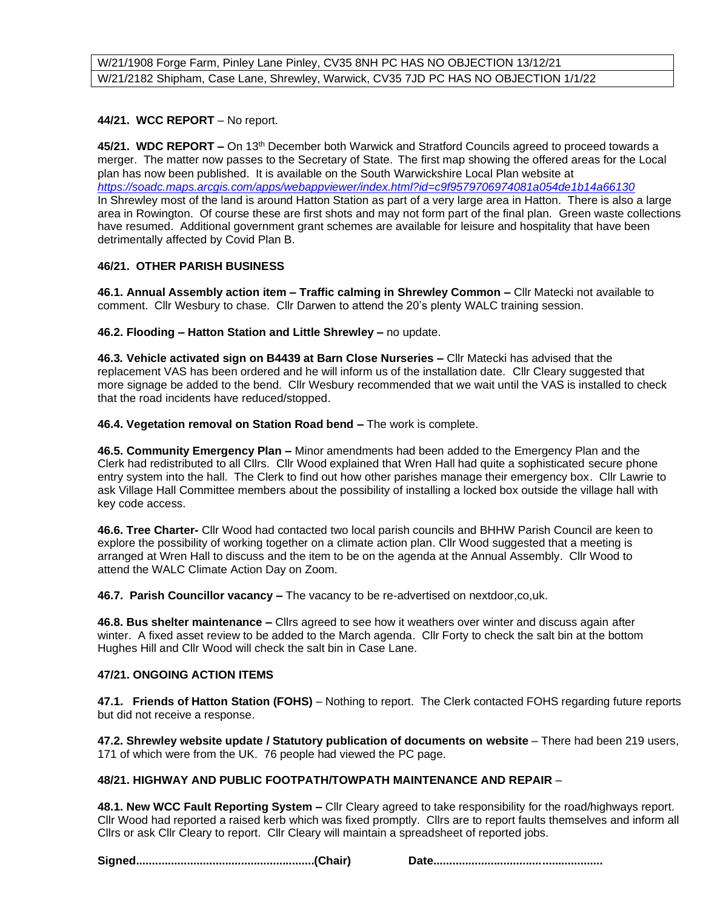## **44/21. WCC REPORT** – No report.

**45/21. WDC REPORT –** On 13th December both Warwick and Stratford Councils agreed to proceed towards a merger. The matter now passes to the Secretary of State. The first map showing the offered areas for the Local plan has now been published. It is available on the South Warwickshire Local Plan website at *<https://soadc.maps.arcgis.com/apps/webappviewer/index.html?id=c9f9579706974081a054de1b14a66130>* In Shrewley most of the land is around Hatton Station as part of a very large area in Hatton. There is also a large area in Rowington. Of course these are first shots and may not form part of the final plan. Green waste collections have resumed. Additional government grant schemes are available for leisure and hospitality that have been detrimentally affected by Covid Plan B.

## **46/21. OTHER PARISH BUSINESS**

**46.1. Annual Assembly action item – Traffic calming in Shrewley Common –** Cllr Matecki not available to comment. Cllr Wesbury to chase. Cllr Darwen to attend the 20's plenty WALC training session.

**46.2. Flooding – Hatton Station and Little Shrewley –** no update.

**46.3***.* **Vehicle activated sign on B4439 at Barn Close Nurseries –** Cllr Matecki has advised that the replacement VAS has been ordered and he will inform us of the installation date. Cllr Cleary suggested that more signage be added to the bend. Cllr Wesbury recommended that we wait until the VAS is installed to check that the road incidents have reduced/stopped.

### **46.4. Vegetation removal on Station Road bend –** The work is complete.

**46.5. Community Emergency Plan –** Minor amendments had been added to the Emergency Plan and the Clerk had redistributed to all Cllrs. Cllr Wood explained that Wren Hall had quite a sophisticated secure phone entry system into the hall. The Clerk to find out how other parishes manage their emergency box. Cllr Lawrie to ask Village Hall Committee members about the possibility of installing a locked box outside the village hall with key code access.

**46.6. Tree Charter-** Cllr Wood had contacted two local parish councils and BHHW Parish Council are keen to explore the possibility of working together on a climate action plan. Cllr Wood suggested that a meeting is arranged at Wren Hall to discuss and the item to be on the agenda at the Annual Assembly. Cllr Wood to attend the WALC Climate Action Day on Zoom.

**46.7. Parish Councillor vacancy –** The vacancy to be re-advertised on nextdoor,co,uk.

**46.8. Bus shelter maintenance –** Cllrs agreed to see how it weathers over winter and discuss again after winter. A fixed asset review to be added to the March agenda. Cllr Forty to check the salt bin at the bottom Hughes Hill and Cllr Wood will check the salt bin in Case Lane.

# **47/21. ONGOING ACTION ITEMS**

**47.1. Friends of Hatton Station (FOHS)** – Nothing to report. The Clerk contacted FOHS regarding future reports but did not receive a response.

**47.2. Shrewley website update / Statutory publication of documents on website** – There had been 219 users, 171 of which were from the UK. 76 people had viewed the PC page.

# **48/21. HIGHWAY AND PUBLIC FOOTPATH/TOWPATH MAINTENANCE AND REPAIR** –

**48.1. New WCC Fault Reporting System –** Cllr Cleary agreed to take responsibility for the road/highways report. Cllr Wood had reported a raised kerb which was fixed promptly. Cllrs are to report faults themselves and inform all Cllrs or ask Cllr Cleary to report. Cllr Cleary will maintain a spreadsheet of reported jobs.

**Signed........................................................(Chair) Date.....................................................**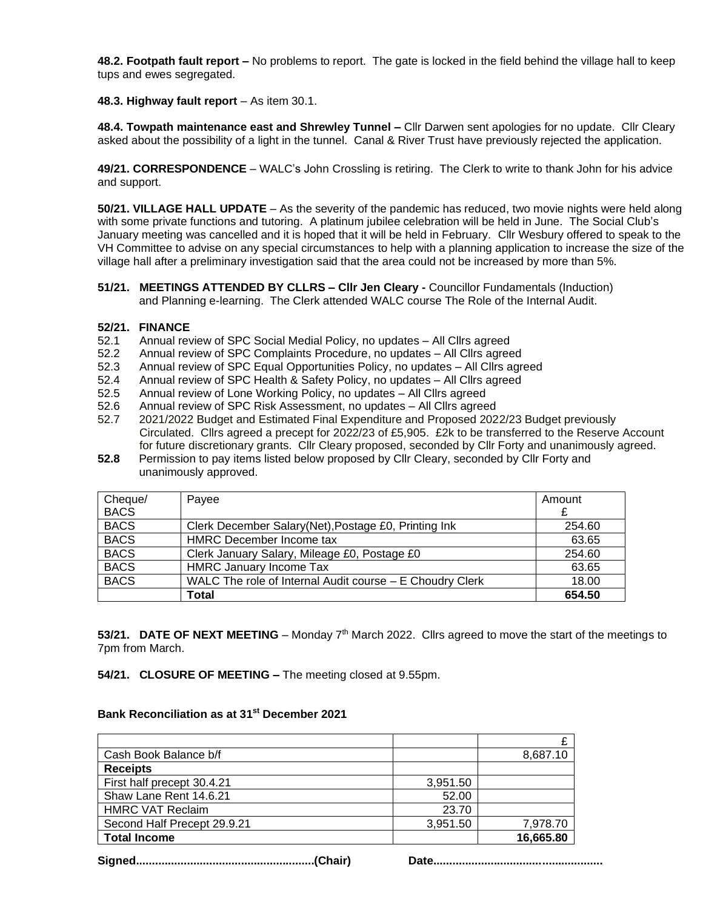**48.2. Footpath fault report –** No problems to report. The gate is locked in the field behind the village hall to keep tups and ewes segregated.

**48.3. Highway fault report** – As item 30.1.

**48.4. Towpath maintenance east and Shrewley Tunnel –** Cllr Darwen sent apologies for no update. Cllr Cleary asked about the possibility of a light in the tunnel. Canal & River Trust have previously rejected the application.

**49/21. CORRESPONDENCE** – WALC's John Crossling is retiring. The Clerk to write to thank John for his advice and support.

**50/21. VILLAGE HALL UPDATE** – As the severity of the pandemic has reduced, two movie nights were held along with some private functions and tutoring. A platinum jubilee celebration will be held in June. The Social Club's January meeting was cancelled and it is hoped that it will be held in February. Cllr Wesbury offered to speak to the VH Committee to advise on any special circumstances to help with a planning application to increase the size of the village hall after a preliminary investigation said that the area could not be increased by more than 5%.

**51/21. MEETINGS ATTENDED BY CLLRS – Cllr Jen Cleary -** Councillor Fundamentals (Induction) and Planning e-learning. The Clerk attended WALC course The Role of the Internal Audit.

#### **52/21. FINANCE**

- 52.1 Annual review of SPC Social Medial Policy, no updates All Cllrs agreed
- 52.2 Annual review of SPC Complaints Procedure, no updates All Cllrs agreed
- 52.3 Annual review of SPC Equal Opportunities Policy, no updates All Cllrs agreed
- 52.4 Annual review of SPC Health & Safety Policy, no updates All Cllrs agreed
- 52.5 Annual review of Lone Working Policy, no updates All Cllrs agreed
- 52.6 Annual review of SPC Risk Assessment, no updates All Cllrs agreed
- 52.7 2021/2022 Budget and Estimated Final Expenditure and Proposed 2022/23 Budget previously Circulated. Cllrs agreed a precept for 2022/23 of £5,905. £2k to be transferred to the Reserve Account for future discretionary grants. Cllr Cleary proposed, seconded by Cllr Forty and unanimously agreed.
- **52.8** Permission to pay items listed below proposed by Cllr Cleary, seconded by Cllr Forty and unanimously approved.

| Cheque/     | Payee                                                    | Amount |
|-------------|----------------------------------------------------------|--------|
| <b>BACS</b> |                                                          | £      |
| <b>BACS</b> | Clerk December Salary(Net), Postage £0, Printing Ink     | 254.60 |
| <b>BACS</b> | HMRC December Income tax                                 | 63.65  |
| <b>BACS</b> | Clerk January Salary, Mileage £0, Postage £0             | 254.60 |
| <b>BACS</b> | <b>HMRC January Income Tax</b>                           | 63.65  |
| <b>BACS</b> | WALC The role of Internal Audit course – E Choudry Clerk | 18.00  |
|             | Total                                                    | 654.50 |

53/21. DATE OF NEXT MEETING – Monday 7<sup>th</sup> March 2022. Cllrs agreed to move the start of the meetings to 7pm from March.

**54/21. CLOSURE OF MEETING –** The meeting closed at 9.55pm.

#### **Bank Reconciliation as at 31 st December 2021**

| Cash Book Balance b/f       |          | 8,687.10  |
|-----------------------------|----------|-----------|
| <b>Receipts</b>             |          |           |
| First half precept 30.4.21  | 3,951.50 |           |
| Shaw Lane Rent 14.6.21      | 52.00    |           |
| <b>HMRC VAT Reclaim</b>     | 23.70    |           |
| Second Half Precept 29.9.21 | 3,951.50 | 7,978.70  |
| <b>Total Income</b>         |          | 16,665.80 |

**Signed........................................................(Chair) Date.....................................................**